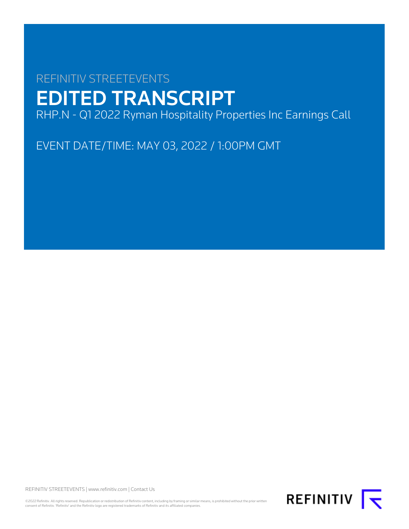# REFINITIV STREETEVENTS EDITED TRANSCRIPT RHP.N - Q1 2022 Ryman Hospitality Properties Inc Earnings Call

EVENT DATE/TIME: MAY 03, 2022 / 1:00PM GMT

REFINITIV STREETEVENTS | [www.refinitiv.com](https://www.refinitiv.com/) | [Contact Us](https://www.refinitiv.com/en/contact-us)

©2022 Refinitiv. All rights reserved. Republication or redistribution of Refinitiv content, including by framing or similar means, is prohibited without the prior written<br>consent of Refinitiv. 'Refinitiv' and the Refinitiv

REFINITIV **K**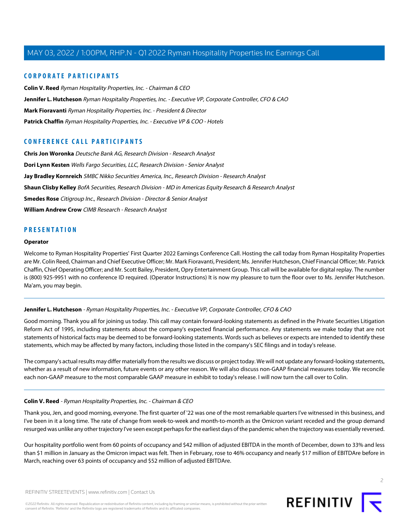## **CORPORATE PARTICIPANTS**

**[Colin V. Reed](#page-1-0)** Ryman Hospitality Properties, Inc. - Chairman & CEO **[Jennifer L. Hutcheson](#page-1-1)** Ryman Hospitality Properties, Inc. - Executive VP, Corporate Controller, CFO & CAO **[Mark Fioravanti](#page-3-0)** Ryman Hospitality Properties, Inc. - President & Director **[Patrick Chaffin](#page-6-0)** Ryman Hospitality Properties, Inc. - Executive VP & COO - Hotels

# **CONFERENCE CALL PARTICIPANTS**

**[Chris Jon Woronka](#page-12-0)** Deutsche Bank AG, Research Division - Research Analyst **[Dori Lynn Kesten](#page-10-0)** Wells Fargo Securities, LLC, Research Division - Senior Analyst **[Jay Bradley Kornreich](#page-14-0)** SMBC Nikko Securities America, Inc., Research Division - Research Analyst **[Shaun Clisby Kelley](#page-5-0)** BofA Securities, Research Division - MD in Americas Equity Research & Research Analyst **[Smedes Rose](#page-9-0)** Citigroup Inc., Research Division - Director & Senior Analyst **[William Andrew Crow](#page-8-0)** CIMB Research - Research Analyst

## **PRESENTATION**

#### **Operator**

<span id="page-1-1"></span>Welcome to Ryman Hospitality Properties' First Quarter 2022 Earnings Conference Call. Hosting the call today from Ryman Hospitality Properties are Mr. Colin Reed, Chairman and Chief Executive Officer; Mr. Mark Fioravanti, President; Ms. Jennifer Hutcheson, Chief Financial Officer; Mr. Patrick Chaffin, Chief Operating Officer; and Mr. Scott Bailey, President, Opry Entertainment Group. This call will be available for digital replay. The number is (800) 925-9951 with no conference ID required. (Operator Instructions) It is now my pleasure to turn the floor over to Ms. Jennifer Hutcheson. Ma'am, you may begin.

#### **Jennifer L. Hutcheson** - Ryman Hospitality Properties, Inc. - Executive VP, Corporate Controller, CFO & CAO

Good morning. Thank you all for joining us today. This call may contain forward-looking statements as defined in the Private Securities Litigation Reform Act of 1995, including statements about the company's expected financial performance. Any statements we make today that are not statements of historical facts may be deemed to be forward-looking statements. Words such as believes or expects are intended to identify these statements, which may be affected by many factors, including those listed in the company's SEC filings and in today's release.

<span id="page-1-0"></span>The company's actual results may differ materially from the results we discuss or project today. We will not update any forward-looking statements, whether as a result of new information, future events or any other reason. We will also discuss non-GAAP financial measures today. We reconcile each non-GAAP measure to the most comparable GAAP measure in exhibit to today's release. I will now turn the call over to Colin.

## **Colin V. Reed** - Ryman Hospitality Properties, Inc. - Chairman & CEO

Thank you, Jen, and good morning, everyone. The first quarter of '22 was one of the most remarkable quarters I've witnessed in this business, and I've been in it a long time. The rate of change from week-to-week and month-to-month as the Omicron variant receded and the group demand resurged was unlike any other trajectory I've seen except perhaps for the earliest days of the pandemic when the trajectory was essentially reversed.

Our hospitality portfolio went from 60 points of occupancy and \$42 million of adjusted EBITDA in the month of December, down to 33% and less than \$1 million in January as the Omicron impact was felt. Then in February, rose to 46% occupancy and nearly \$17 million of EBITDAre before in March, reaching over 63 points of occupancy and \$52 million of adjusted EBITDAre.

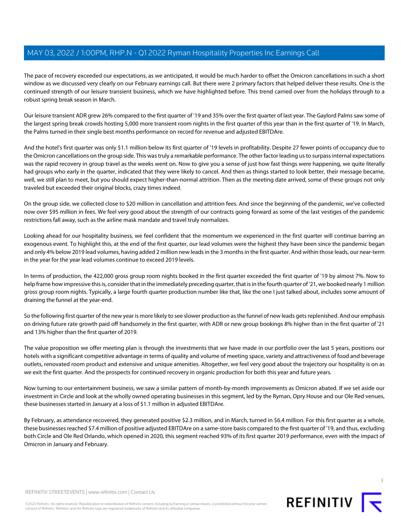The pace of recovery exceeded our expectations, as we anticipated, it would be much harder to offset the Omicron cancellations in such a short window as we discussed very clearly on our February earnings call. But there were 2 primary factors that helped deliver these results. One is the continued strength of our leisure transient business, which we have highlighted before. This trend carried over from the holidays through to a robust spring break season in March.

Our leisure transient ADR grew 26% compared to the first quarter of '19 and 35% over the first quarter of last year. The Gaylord Palms saw some of the largest spring break crowds hosting 5,000 more transient room nights in the first quarter of this year than in the first quarter of '19. In March, the Palms turned in their single best months performance on record for revenue and adjusted EBITDAre.

And the hotel's first quarter was only \$1.1 million below its first quarter of '19 levels in profitability. Despite 27 fewer points of occupancy due to the Omicron cancellations on the group side. This was truly a remarkable performance. The other factor leading us to surpass internal expectations was the rapid recovery in group travel as the weeks went on. Now to give you a sense of just how fast things were happening, we quite literally had groups who early in the quarter, indicated that they were likely to cancel. And then as things started to look better, their message became, well, we still plan to meet, but you should expect higher-than-normal attrition. Then as the meeting date arrived, some of these groups not only traveled but exceeded their original blocks, crazy times indeed.

On the group side, we collected close to \$20 million in cancellation and attrition fees. And since the beginning of the pandemic, we've collected now over \$95 million in fees. We feel very good about the strength of our contracts going forward as some of the last vestiges of the pandemic restrictions fall away, such as the airline mask mandate and travel truly normalizes.

Looking ahead for our hospitality business, we feel confident that the momentum we experienced in the first quarter will continue barring an exogenous event. To highlight this, at the end of the first quarter, our lead volumes were the highest they have been since the pandemic began and only 4% below 2019 lead volumes, having added 2 million new leads in the 3 months in the first quarter. And within those leads, our near-term in the year for the year lead volumes continue to exceed 2019 levels.

In terms of production, the 422,000 gross group room nights booked in the first quarter exceeded the first quarter of '19 by almost 7%. Now to help frame how impressive this is, consider that in the immediately preceding quarter, that is in the fourth quarter of '21, we booked nearly 1 million gross group room nights. Typically, a large fourth quarter production number like that, like the one I just talked about, includes some amount of draining the funnel at the year-end.

So the following first quarter of the new year is more likely to see slower production as the funnel of new leads gets replenished. And our emphasis on driving future rate growth paid off handsomely in the first quarter, with ADR or new group bookings 8% higher than in the first quarter of '21 and 13% higher than the first quarter of 2019.

The value proposition we offer meeting plan is through the investments that we have made in our portfolio over the last 5 years, positions our hotels with a significant competitive advantage in terms of quality and volume of meeting space, variety and attractiveness of food and beverage outlets, renovated room product and extensive and unique amenities. Altogether, we feel very good about the trajectory our hospitality is on as we exit the first quarter. And the prospects for continued recovery in organic production for both this year and future years.

Now turning to our entertainment business, we saw a similar pattern of month-by-month improvements as Omicron abated. If we set aside our investment in Circle and look at the wholly owned operating businesses in this segment, led by the Ryman, Opry House and our Ole Red venues, these businesses started in January at a loss of \$1.1 million in adjusted EBITDAre.

By February, as attendance recovered, they generated positive \$2.3 million, and in March, turned in \$6.4 million. For this first quarter as a whole, these businesses reached \$7.4 million of positive adjusted EBITDAre on a same-store basis compared to the first quarter of '19, and thus, excluding both Circle and Ole Red Orlando, which opened in 2020, this segment reached 93% of its first quarter 2019 performance, even with the impact of Omicron in January and February.

REFINITIV STREETEVENTS | [www.refinitiv.com](https://www.refinitiv.com/) | [Contact Us](https://www.refinitiv.com/en/contact-us)

©2022 Refinitiv. All rights reserved. Republication or redistribution of Refinitiv content, including by framing or similar means, is prohibited without the prior written consent of Refinitiv. 'Refinitiv' and the Refinitiv logo are registered trademarks of Refinitiv and its affiliated companies.



**REFINITIV**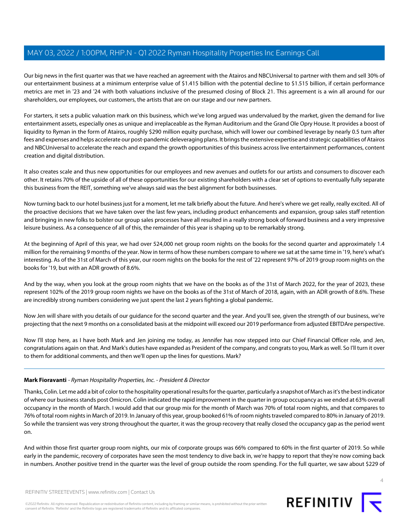Our big news in the first quarter was that we have reached an agreement with the Atairos and NBCUniversal to partner with them and sell 30% of our entertainment business at a minimum enterprise value of \$1.415 billion with the potential decline to \$1.515 billion, if certain performance metrics are met in '23 and '24 with both valuations inclusive of the presumed closing of Block 21. This agreement is a win all around for our shareholders, our employees, our customers, the artists that are on our stage and our new partners.

For starters, it sets a public valuation mark on this business, which we've long argued was undervalued by the market, given the demand for live entertainment assets, especially ones as unique and irreplaceable as the Ryman Auditorium and the Grand Ole Opry House. It provides a boost of liquidity to Ryman in the form of Atairos, roughly \$290 million equity purchase, which will lower our combined leverage by nearly 0.5 turn after fees and expenses and helps accelerate our post-pandemic deleveraging plans. It brings the extensive expertise and strategic capabilities of Atairos and NBCUniversal to accelerate the reach and expand the growth opportunities of this business across live entertainment performances, content creation and digital distribution.

It also creates scale and thus new opportunities for our employees and new avenues and outlets for our artists and consumers to discover each other. It retains 70% of the upside of all of these opportunities for our existing shareholders with a clear set of options to eventually fully separate this business from the REIT, something we've always said was the best alignment for both businesses.

Now turning back to our hotel business just for a moment, let me talk briefly about the future. And here's where we get really, really excited. All of the proactive decisions that we have taken over the last few years, including product enhancements and expansion, group sales staff retention and bringing in new folks to bolster our group sales processes have all resulted in a really strong book of forward business and a very impressive leisure business. As a consequence of all of this, the remainder of this year is shaping up to be remarkably strong.

At the beginning of April of this year, we had over 524,000 net group room nights on the books for the second quarter and approximately 1.4 million for the remaining 9 months of the year. Now in terms of how these numbers compare to where we sat at the same time in '19, here's what's interesting. As of the 31st of March of this year, our room nights on the books for the rest of '22 represent 97% of 2019 group room nights on the books for '19, but with an ADR growth of 8.6%.

And by the way, when you look at the group room nights that we have on the books as of the 31st of March 2022, for the year of 2023, these represent 102% of the 2019 group room nights we have on the books as of the 31st of March of 2018, again, with an ADR growth of 8.6%. These are incredibly strong numbers considering we just spent the last 2 years fighting a global pandemic.

Now Jen will share with you details of our guidance for the second quarter and the year. And you'll see, given the strength of our business, we're projecting that the next 9 months on a consolidated basis at the midpoint will exceed our 2019 performance from adjusted EBITDAre perspective.

<span id="page-3-0"></span>Now I'll stop here, as I have both Mark and Jen joining me today, as Jennifer has now stepped into our Chief Financial Officer role, and Jen, congratulations again on that. And Mark's duties have expanded as President of the company, and congrats to you, Mark as well. So I'll turn it over to them for additional comments, and then we'll open up the lines for questions. Mark?

## **Mark Fioravanti** - Ryman Hospitality Properties, Inc. - President & Director

Thanks, Colin. Let me add a bit of color to the hospitality operational results for the quarter, particularly a snapshot of March as it's the best indicator of where our business stands post Omicron. Colin indicated the rapid improvement in the quarter in group occupancy as we ended at 63% overall occupancy in the month of March. I would add that our group mix for the month of March was 70% of total room nights, and that compares to 76% of total room nights in March of 2019. In January of this year, group booked 61% of room nights traveled compared to 80% in January of 2019. So while the transient was very strong throughout the quarter, it was the group recovery that really closed the occupancy gap as the period went on.

And within those first quarter group room nights, our mix of corporate groups was 66% compared to 60% in the first quarter of 2019. So while early in the pandemic, recovery of corporates have seen the most tendency to dive back in, we're happy to report that they're now coming back in numbers. Another positive trend in the quarter was the level of group outside the room spending. For the full quarter, we saw about \$229 of

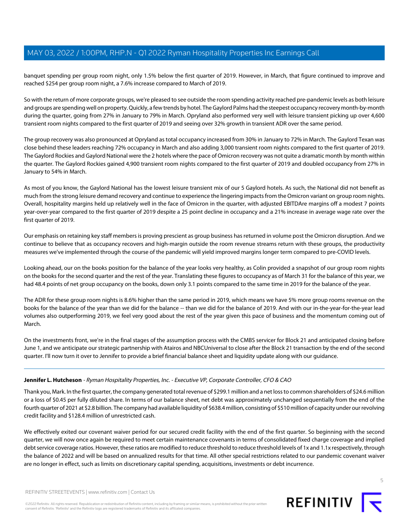banquet spending per group room night, only 1.5% below the first quarter of 2019. However, in March, that figure continued to improve and reached \$254 per group room night, a 7.6% increase compared to March of 2019.

So with the return of more corporate groups, we're pleased to see outside the room spending activity reached pre-pandemic levels as both leisure and groups are spending well on property. Quickly, a few trends by hotel. The Gaylord Palms had the steepest occupancy recovery month-by-month during the quarter, going from 27% in January to 79% in March. Opryland also performed very well with leisure transient picking up over 4,600 transient room nights compared to the first quarter of 2019 and seeing over 32% growth in transient ADR over the same period.

The group recovery was also pronounced at Opryland as total occupancy increased from 30% in January to 72% in March. The Gaylord Texan was close behind these leaders reaching 72% occupancy in March and also adding 3,000 transient room nights compared to the first quarter of 2019. The Gaylord Rockies and Gaylord National were the 2 hotels where the pace of Omicron recovery was not quite a dramatic month by month within the quarter. The Gaylord Rockies gained 4,900 transient room nights compared to the first quarter of 2019 and doubled occupancy from 27% in January to 54% in March.

As most of you know, the Gaylord National has the lowest leisure transient mix of our 5 Gaylord hotels. As such, the National did not benefit as much from the strong leisure demand recovery and continue to experience the lingering impacts from the Omicron variant on group room nights. Overall, hospitality margins held up relatively well in the face of Omicron in the quarter, with adjusted EBITDAre margins off a modest 7 points year-over-year compared to the first quarter of 2019 despite a 25 point decline in occupancy and a 21% increase in average wage rate over the first quarter of 2019.

Our emphasis on retaining key staff members is proving prescient as group business has returned in volume post the Omicron disruption. And we continue to believe that as occupancy recovers and high-margin outside the room revenue streams return with these groups, the productivity measures we've implemented through the course of the pandemic will yield improved margins longer term compared to pre-COVID levels.

Looking ahead, our on the books position for the balance of the year looks very healthy, as Colin provided a snapshot of our group room nights on the books for the second quarter and the rest of the year. Translating these figures to occupancy as of March 31 for the balance of this year, we had 48.4 points of net group occupancy on the books, down only 3.1 points compared to the same time in 2019 for the balance of the year.

The ADR for these group room nights is 8.6% higher than the same period in 2019, which means we have 5% more group rooms revenue on the books for the balance of the year than we did for the balance -- than we did for the balance of 2019. And with our in-the-year-for-the-year lead volumes also outperforming 2019, we feel very good about the rest of the year given this pace of business and the momentum coming out of March.

On the investments front, we're in the final stages of the assumption process with the CMBS servicer for Block 21 and anticipated closing before June 1, and we anticipate our strategic partnership with Atairos and NBCUniversal to close after the Block 21 transaction by the end of the second quarter. I'll now turn it over to Jennifer to provide a brief financial balance sheet and liquidity update along with our guidance.

# **Jennifer L. Hutcheson** - Ryman Hospitality Properties, Inc. - Executive VP, Corporate Controller, CFO & CAO

Thank you, Mark. In the first quarter, the company generated total revenue of \$299.1 million and a net loss to common shareholders of \$24.6 million or a loss of \$0.45 per fully diluted share. In terms of our balance sheet, net debt was approximately unchanged sequentially from the end of the fourth quarter of 2021 at \$2.8 billion. The company had available liquidity of \$638.4 million, consisting of \$510 million of capacity under our revolving credit facility and \$128.4 million of unrestricted cash.

We effectively exited our covenant waiver period for our secured credit facility with the end of the first quarter. So beginning with the second quarter, we will now once again be required to meet certain maintenance covenants in terms of consolidated fixed charge coverage and implied debt service coverage ratios. However, these ratios are modified to reduce threshold to reduce threshold levels of 1x and 1.1x respectively, through the balance of 2022 and will be based on annualized results for that time. All other special restrictions related to our pandemic covenant waiver are no longer in effect, such as limits on discretionary capital spending, acquisitions, investments or debt incurrence.

©2022 Refinitiv. All rights reserved. Republication or redistribution of Refinitiv content, including by framing or similar means, is prohibited without the prior written consent of Refinitiv. 'Refinitiv' and the Refinitiv logo are registered trademarks of Refinitiv and its affiliated companies.



5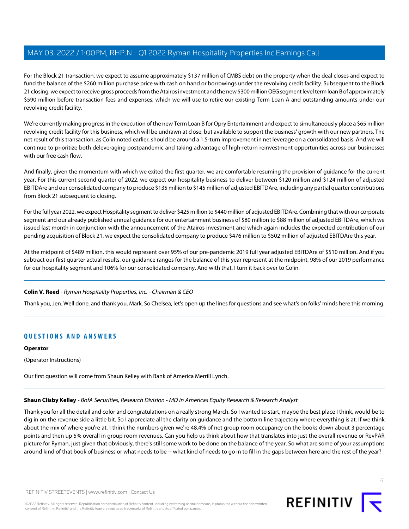For the Block 21 transaction, we expect to assume approximately \$137 million of CMBS debt on the property when the deal closes and expect to fund the balance of the \$260 million purchase price with cash on hand or borrowings under the revolving credit facility. Subsequent to the Block 21 closing, we expect to receive gross proceeds from the Atairos investment and the new \$300 million OEG segment level term loan B of approximately \$590 million before transaction fees and expenses, which we will use to retire our existing Term Loan A and outstanding amounts under our revolving credit facility.

We're currently making progress in the execution of the new Term Loan B for Opry Entertainment and expect to simultaneously place a \$65 million revolving credit facility for this business, which will be undrawn at close, but available to support the business' growth with our new partners. The net result of this transaction, as Colin noted earlier, should be around a 1.5-turn improvement in net leverage on a consolidated basis. And we will continue to prioritize both deleveraging postpandemic and taking advantage of high-return reinvestment opportunities across our businesses with our free cash flow.

And finally, given the momentum with which we exited the first quarter, we are comfortable resuming the provision of guidance for the current year. For this current second quarter of 2022, we expect our hospitality business to deliver between \$120 million and \$124 million of adjusted EBITDAre and our consolidated company to produce \$135 million to \$145 million of adjusted EBITDAre, including any partial quarter contributions from Block 21 subsequent to closing.

For the full year 2022, we expect Hospitality segment to deliver \$425 million to \$440 million of adjusted EBITDAre. Combining that with our corporate segment and our already published annual guidance for our entertainment business of \$80 million to \$88 million of adjusted EBITDAre, which we issued last month in conjunction with the announcement of the Atairos investment and which again includes the expected contribution of our pending acquisition of Block 21, we expect the consolidated company to produce \$476 million to \$502 million of adjusted EBITDAre this year.

At the midpoint of \$489 million, this would represent over 95% of our pre-pandemic 2019 full year adjusted EBITDAre of \$510 million. And if you subtract our first quarter actual results, our guidance ranges for the balance of this year represent at the midpoint, 98% of our 2019 performance for our hospitality segment and 106% for our consolidated company. And with that, I turn it back over to Colin.

## **Colin V. Reed** - Ryman Hospitality Properties, Inc. - Chairman & CEO

Thank you, Jen. Well done, and thank you, Mark. So Chelsea, let's open up the lines for questions and see what's on folks' minds here this morning.

# **QUESTIONS AND ANSWERS**

#### **Operator**

<span id="page-5-0"></span>(Operator Instructions)

Our first question will come from Shaun Kelley with Bank of America Merrill Lynch.

## **Shaun Clisby Kelley** - BofA Securities, Research Division - MD in Americas Equity Research & Research Analyst

Thank you for all the detail and color and congratulations on a really strong March. So I wanted to start, maybe the best place I think, would be to dig in on the revenue side a little bit. So I appreciate all the clarity on guidance and the bottom line trajectory where everything is at. If we think about the mix of where you're at, I think the numbers given we're 48.4% of net group room occupancy on the books down about 3 percentage points and then up 5% overall in group room revenues. Can you help us think about how that translates into just the overall revenue or RevPAR picture for Ryman, just given that obviously, there's still some work to be done on the balance of the year. So what are some of your assumptions around kind of that book of business or what needs to be -- what kind of needs to go in to fill in the gaps between here and the rest of the year?

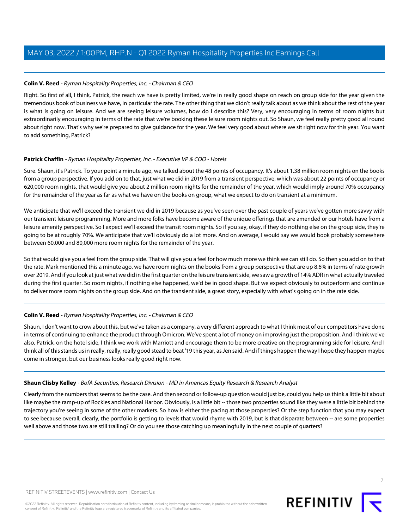## **Colin V. Reed** - Ryman Hospitality Properties, Inc. - Chairman & CEO

Right. So first of all, I think, Patrick, the reach we have is pretty limited, we're in really good shape on reach on group side for the year given the tremendous book of business we have, in particular the rate. The other thing that we didn't really talk about as we think about the rest of the year is what is going on leisure. And we are seeing leisure volumes, how do I describe this? Very, very encouraging in terms of room nights but extraordinarily encouraging in terms of the rate that we're booking these leisure room nights out. So Shaun, we feel really pretty good all round about right now. That's why we're prepared to give guidance for the year. We feel very good about where we sit right now for this year. You want to add something, Patrick?

## <span id="page-6-0"></span>Patrick Chaffin - Ryman Hospitality Properties, Inc. - Executive VP & COO - Hotels

Sure. Shaun, it's Patrick. To your point a minute ago, we talked about the 48 points of occupancy. It's about 1.38 million room nights on the books from a group perspective. If you add on to that, just what we did in 2019 from a transient perspective, which was about 22 points of occupancy or 620,000 room nights, that would give you about 2 million room nights for the remainder of the year, which would imply around 70% occupancy for the remainder of the year as far as what we have on the books on group, what we expect to do on transient at a minimum.

We anticipate that we'll exceed the transient we did in 2019 because as you've seen over the past couple of years we've gotten more savvy with our transient leisure programming. More and more folks have become aware of the unique offerings that are amended or our hotels have from a leisure amenity perspective. So I expect we'll exceed the transit room nights. So if you say, okay, if they do nothing else on the group side, they're going to be at roughly 70%. We anticipate that we'll obviously do a lot more. And on average, I would say we would book probably somewhere between 60,000 and 80,000 more room nights for the remainder of the year.

So that would give you a feel from the group side. That will give you a feel for how much more we think we can still do. So then you add on to that the rate. Mark mentioned this a minute ago, we have room nights on the books from a group perspective that are up 8.6% in terms of rate growth over 2019. And if you look at just what we did in the first quarter on the leisure transient side, we saw a growth of 14% ADR in what actually traveled during the first quarter. So room nights, if nothing else happened, we'd be in good shape. But we expect obviously to outperform and continue to deliver more room nights on the group side. And on the transient side, a great story, especially with what's going on in the rate side.

# **Colin V. Reed** - Ryman Hospitality Properties, Inc. - Chairman & CEO

Shaun, I don't want to crow about this, but we've taken as a company, a very different approach to what I think most of our competitors have done in terms of continuing to enhance the product through Omicron. We've spent a lot of money on improving just the proposition. And I think we've also, Patrick, on the hotel side, I think we work with Marriott and encourage them to be more creative on the programming side for leisure. And I think all of this stands us in really, really, really good stead to beat '19 this year, as Jen said. And if things happen the way I hope they happen maybe come in stronger, but our business looks really good right now.

## **Shaun Clisby Kelley** - BofA Securities, Research Division - MD in Americas Equity Research & Research Analyst

Clearly from the numbers that seems to be the case. And then second or follow-up question would just be, could you help us think a little bit about like maybe the ramp-up of Rockies and National Harbor. Obviously, is a little bit -- those two properties sound like they were a little bit behind the trajectory you're seeing in some of the other markets. So how is either the pacing at those properties? Or the step function that you may expect to see because overall, clearly, the portfolio is getting to levels that would rhyme with 2019, but is that disparate between -- are some properties well above and those two are still trailing? Or do you see those catching up meaningfully in the next couple of quarters?



7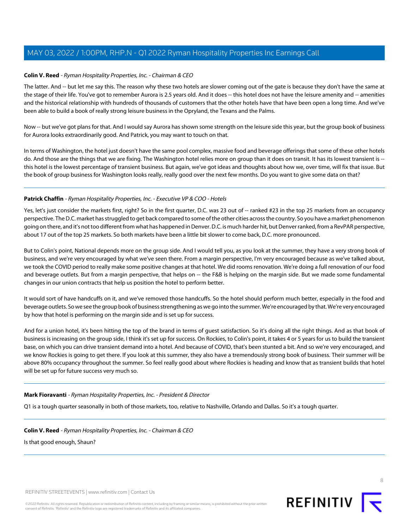## **Colin V. Reed** - Ryman Hospitality Properties, Inc. - Chairman & CEO

The latter. And -- but let me say this. The reason why these two hotels are slower coming out of the gate is because they don't have the same at the stage of their life. You've got to remember Aurora is 2.5 years old. And it does -- this hotel does not have the leisure amenity and -- amenities and the historical relationship with hundreds of thousands of customers that the other hotels have that have been open a long time. And we've been able to build a book of really strong leisure business in the Opryland, the Texans and the Palms.

Now -- but we've got plans for that. And I would say Aurora has shown some strength on the leisure side this year, but the group book of business for Aurora looks extraordinarily good. And Patrick, you may want to touch on that.

In terms of Washington, the hotel just doesn't have the same pool complex, massive food and beverage offerings that some of these other hotels do. And those are the things that we are fixing. The Washington hotel relies more on group than it does on transit. It has its lowest transient is -this hotel is the lowest percentage of transient business. But again, we've got ideas and thoughts about how we, over time, will fix that issue. But the book of group business for Washington looks really, really good over the next few months. Do you want to give some data on that?

## Patrick Chaffin - Ryman Hospitality Properties, Inc. - Executive VP & COO - Hotels

Yes, let's just consider the markets first, right? So in the first quarter, D.C. was 23 out of -- ranked #23 in the top 25 markets from an occupancy perspective. The D.C. market has struggled to get back compared to some of the other cities across the country. So you have a market phenomenon going on there, and it's not too different from what has happened in Denver. D.C. is much harder hit, but Denver ranked, from a RevPAR perspective, about 17 out of the top 25 markets. So both markets have been a little bit slower to come back, D.C. more pronounced.

But to Colin's point, National depends more on the group side. And I would tell you, as you look at the summer, they have a very strong book of business, and we're very encouraged by what we've seen there. From a margin perspective, I'm very encouraged because as we've talked about, we took the COVID period to really make some positive changes at that hotel. We did rooms renovation. We're doing a full renovation of our food and beverage outlets. But from a margin perspective, that helps on -- the F&B is helping on the margin side. But we made some fundamental changes in our union contracts that help us position the hotel to perform better.

It would sort of have handcuffs on it, and we've removed those handcuffs. So the hotel should perform much better, especially in the food and beverage outlets. So we see the group book of business strengthening as we go into the summer. We're encouraged by that. We're very encouraged by how that hotel is performing on the margin side and is set up for success.

And for a union hotel, it's been hitting the top of the brand in terms of guest satisfaction. So it's doing all the right things. And as that book of business is increasing on the group side, I think it's set up for success. On Rockies, to Colin's point, it takes 4 or 5 years for us to build the transient base, on which you can drive transient demand into a hotel. And because of COVID, that's been stunted a bit. And so we're very encouraged, and we know Rockies is going to get there. If you look at this summer, they also have a tremendously strong book of business. Their summer will be above 80% occupancy throughout the summer. So feel really good about where Rockies is heading and know that as transient builds that hotel will be set up for future success very much so.

**Mark Fioravanti** - Ryman Hospitality Properties, Inc. - President & Director

Q1 is a tough quarter seasonally in both of those markets, too, relative to Nashville, Orlando and Dallas. So it's a tough quarter.

**Colin V. Reed** - Ryman Hospitality Properties, Inc. - Chairman & CEO

Is that good enough, Shaun?

REFINITIV STREETEVENTS | [www.refinitiv.com](https://www.refinitiv.com/) | [Contact Us](https://www.refinitiv.com/en/contact-us)

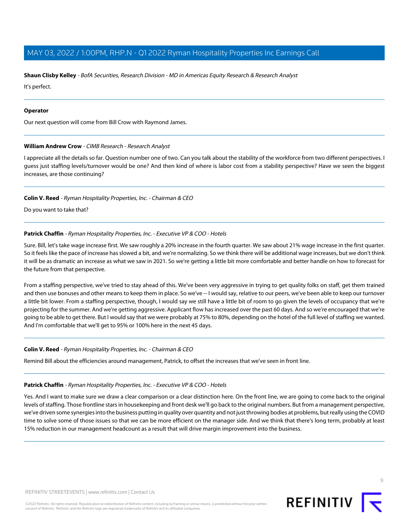#### **Shaun Clisby Kelley** - BofA Securities, Research Division - MD in Americas Equity Research & Research Analyst

It's perfect.

#### **Operator**

<span id="page-8-0"></span>Our next question will come from Bill Crow with Raymond James.

#### **William Andrew Crow** - CIMB Research - Research Analyst

I appreciate all the details so far. Question number one of two. Can you talk about the stability of the workforce from two different perspectives. I guess just staffing levels/turnover would be one? And then kind of where is labor cost from a stability perspective? Have we seen the biggest increases, are those continuing?

#### **Colin V. Reed** - Ryman Hospitality Properties, Inc. - Chairman & CEO

Do you want to take that?

#### Patrick Chaffin - Ryman Hospitality Properties, Inc. - Executive VP & COO - Hotels

Sure. Bill, let's take wage increase first. We saw roughly a 20% increase in the fourth quarter. We saw about 21% wage increase in the first quarter. So it feels like the pace of increase has slowed a bit, and we're normalizing. So we think there will be additional wage increases, but we don't think it will be as dramatic an increase as what we saw in 2021. So we're getting a little bit more comfortable and better handle on how to forecast for the future from that perspective.

From a staffing perspective, we've tried to stay ahead of this. We've been very aggressive in trying to get quality folks on staff, get them trained and then use bonuses and other means to keep them in place. So we've -- I would say, relative to our peers, we've been able to keep our turnover a little bit lower. From a staffing perspective, though, I would say we still have a little bit of room to go given the levels of occupancy that we're projecting for the summer. And we're getting aggressive. Applicant flow has increased over the past 60 days. And so we're encouraged that we're going to be able to get there. But I would say that we were probably at 75% to 80%, depending on the hotel of the full level of staffing we wanted. And I'm comfortable that we'll get to 95% or 100% here in the next 45 days.

#### **Colin V. Reed** - Ryman Hospitality Properties, Inc. - Chairman & CEO

Remind Bill about the efficiencies around management, Patrick, to offset the increases that we've seen in front line.

#### Patrick Chaffin - Ryman Hospitality Properties, Inc. - Executive VP & COO - Hotels

Yes. And I want to make sure we draw a clear comparison or a clear distinction here. On the front line, we are going to come back to the original levels of staffing. Those frontline stars in housekeeping and front desk we'll go back to the original numbers. But from a management perspective, we've driven some synergies into the business putting in quality over quantity and not just throwing bodies at problems, but really using the COVID time to solve some of those issues so that we can be more efficient on the manager side. And we think that there's long term, probably at least 15% reduction in our management headcount as a result that will drive margin improvement into the business.

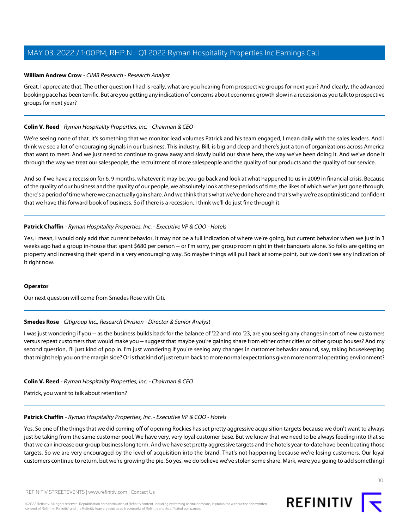#### **William Andrew Crow** - CIMB Research - Research Analyst

Great. I appreciate that. The other question I had is really, what are you hearing from prospective groups for next year? And clearly, the advanced booking pace has been terrific. But are you getting any indication of concerns about economic growth slow in a recession as you talk to prospective groups for next year?

## **Colin V. Reed** - Ryman Hospitality Properties, Inc. - Chairman & CEO

We're seeing none of that. It's something that we monitor lead volumes Patrick and his team engaged, I mean daily with the sales leaders. And I think we see a lot of encouraging signals in our business. This industry, Bill, is big and deep and there's just a ton of organizations across America that want to meet. And we just need to continue to gnaw away and slowly build our share here, the way we've been doing it. And we've done it through the way we treat our salespeople, the recruitment of more salespeople and the quality of our products and the quality of our service.

And so if we have a recession for 6, 9 months, whatever it may be, you go back and look at what happened to us in 2009 in financial crisis. Because of the quality of our business and the quality of our people, we absolutely look at these periods of time, the likes of which we've just gone through, there's a period of time where we can actually gain share. And we think that's what we've done here and that's why we're as optimistic and confident that we have this forward book of business. So if there is a recession, I think we'll do just fine through it.

## Patrick Chaffin - Ryman Hospitality Properties, Inc. - Executive VP & COO - Hotels

Yes, I mean, I would only add that current behavior, it may not be a full indication of where we're going, but current behavior when we just in 3 weeks ago had a group in-house that spent \$680 per person -- or I'm sorry, per group room night in their banquets alone. So folks are getting on property and increasing their spend in a very encouraging way. So maybe things will pull back at some point, but we don't see any indication of it right now.

#### <span id="page-9-0"></span>**Operator**

Our next question will come from Smedes Rose with Citi.

## **Smedes Rose** - Citigroup Inc., Research Division - Director & Senior Analyst

I was just wondering if you -- as the business builds back for the balance of '22 and into '23, are you seeing any changes in sort of new customers versus repeat customers that would make you -- suggest that maybe you're gaining share from either other cities or other group houses? And my second question, I'll just kind of pop in. I'm just wondering if you're seeing any changes in customer behavior around, say, taking housekeeping that might help you on the margin side? Or is that kind of just return back to more normal expectations given more normal operating environment?

## **Colin V. Reed** - Ryman Hospitality Properties, Inc. - Chairman & CEO

Patrick, you want to talk about retention?

#### Patrick Chaffin - Ryman Hospitality Properties, Inc. - Executive VP & COO - Hotels

Yes. So one of the things that we did coming off of opening Rockies has set pretty aggressive acquisition targets because we don't want to always just be taking from the same customer pool. We have very, very loyal customer base. But we know that we need to be always feeding into that so that we can increase our group business long term. And we have set pretty aggressive targets and the hotels year-to-date have been beating those targets. So we are very encouraged by the level of acquisition into the brand. That's not happening because we're losing customers. Our loyal customers continue to return, but we're growing the pie. So yes, we do believe we've stolen some share. Mark, were you going to add something?

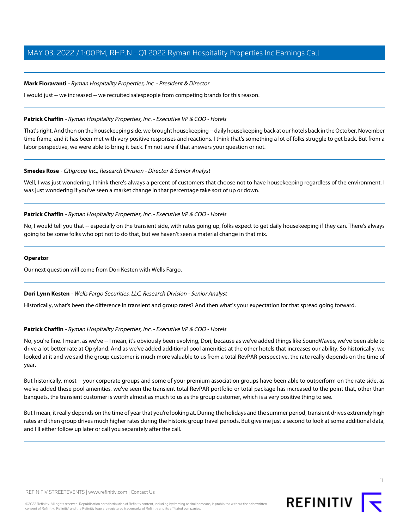## **Mark Fioravanti** - Ryman Hospitality Properties, Inc. - President & Director

I would just -- we increased -- we recruited salespeople from competing brands for this reason.

## **Patrick Chaffin** - Ryman Hospitality Properties, Inc. - Executive VP & COO - Hotels

That's right. And then on the housekeeping side, we brought housekeeping -- daily housekeeping back at our hotels back in the October, November time frame, and it has been met with very positive responses and reactions. I think that's something a lot of folks struggle to get back. But from a labor perspective, we were able to bring it back. I'm not sure if that answers your question or not.

## **Smedes Rose** - Citigroup Inc., Research Division - Director & Senior Analyst

Well, I was just wondering, I think there's always a percent of customers that choose not to have housekeeping regardless of the environment. I was just wondering if you've seen a market change in that percentage take sort of up or down.

## **Patrick Chaffin** - Ryman Hospitality Properties, Inc. - Executive VP & COO - Hotels

No, I would tell you that -- especially on the transient side, with rates going up, folks expect to get daily housekeeping if they can. There's always going to be some folks who opt not to do that, but we haven't seen a material change in that mix.

## **Operator**

<span id="page-10-0"></span>Our next question will come from Dori Kesten with Wells Fargo.

## **Dori Lynn Kesten** - Wells Fargo Securities, LLC, Research Division - Senior Analyst

Historically, what's been the difference in transient and group rates? And then what's your expectation for that spread going forward.

## Patrick Chaffin - Ryman Hospitality Properties, Inc. - Executive VP & COO - Hotels

No, you're fine. I mean, as we've -- I mean, it's obviously been evolving, Dori, because as we've added things like SoundWaves, we've been able to drive a lot better rate at Opryland. And as we've added additional pool amenities at the other hotels that increases our ability. So historically, we looked at it and we said the group customer is much more valuable to us from a total RevPAR perspective, the rate really depends on the time of year.

But historically, most -- your corporate groups and some of your premium association groups have been able to outperform on the rate side. as we've added these pool amenities, we've seen the transient total RevPAR portfolio or total package has increased to the point that, other than banquets, the transient customer is worth almost as much to us as the group customer, which is a very positive thing to see.

But I mean, it really depends on the time of year that you're looking at. During the holidays and the summer period, transient drives extremely high rates and then group drives much higher rates during the historic group travel periods. But give me just a second to look at some additional data, and I'll either follow up later or call you separately after the call.

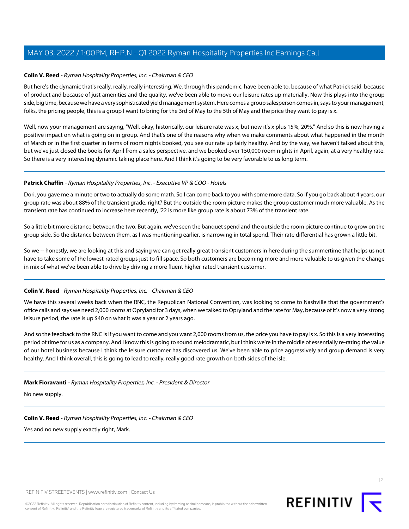## **Colin V. Reed** - Ryman Hospitality Properties, Inc. - Chairman & CEO

But here's the dynamic that's really, really, really interesting. We, through this pandemic, have been able to, because of what Patrick said, because of product and because of just amenities and the quality, we've been able to move our leisure rates up materially. Now this plays into the group side, big time, because we have a very sophisticated yield management system. Here comes a group salesperson comes in, says to your management, folks, the pricing people, this is a group I want to bring for the 3rd of May to the 5th of May and the price they want to pay is x.

Well, now your management are saying, "Well, okay, historically, our leisure rate was x, but now it's x plus 15%, 20%." And so this is now having a positive impact on what is going on in group. And that's one of the reasons why when we make comments about what happened in the month of March or in the first quarter in terms of room nights booked, you see our rate up fairly healthy. And by the way, we haven't talked about this, but we've just closed the books for April from a sales perspective, and we booked over 150,000 room nights in April, again, at a very healthy rate. So there is a very interesting dynamic taking place here. And I think it's going to be very favorable to us long term.

## Patrick Chaffin - Ryman Hospitality Properties, Inc. - Executive VP & COO - Hotels

Dori, you gave me a minute or two to actually do some math. So I can come back to you with some more data. So if you go back about 4 years, our group rate was about 88% of the transient grade, right? But the outside the room picture makes the group customer much more valuable. As the transient rate has continued to increase here recently, '22 is more like group rate is about 73% of the transient rate.

So a little bit more distance between the two. But again, we've seen the banquet spend and the outside the room picture continue to grow on the group side. So the distance between them, as I was mentioning earlier, is narrowing in total spend. Their rate differential has grown a little bit.

So we -- honestly, we are looking at this and saying we can get really great transient customers in here during the summertime that helps us not have to take some of the lowest-rated groups just to fill space. So both customers are becoming more and more valuable to us given the change in mix of what we've been able to drive by driving a more fluent higher-rated transient customer.

## **Colin V. Reed** - Ryman Hospitality Properties, Inc. - Chairman & CEO

We have this several weeks back when the RNC, the Republican National Convention, was looking to come to Nashville that the government's office calls and says we need 2,000 rooms at Opryland for 3 days, when we talked to Opryland and the rate for May, because of it's now a very strong leisure period, the rate is up \$40 on what it was a year or 2 years ago.

And so the feedback to the RNC is if you want to come and you want 2,000 rooms from us, the price you have to pay is x. So this is a very interesting period of time for us as a company. And I know this is going to sound melodramatic, but I think we're in the middle of essentially re-rating the value of our hotel business because I think the leisure customer has discovered us. We've been able to price aggressively and group demand is very healthy. And I think overall, this is going to lead to really, really good rate growth on both sides of the isle.

## **Mark Fioravanti** - Ryman Hospitality Properties, Inc. - President & Director

No new supply.

**Colin V. Reed** - Ryman Hospitality Properties, Inc. - Chairman & CEO

Yes and no new supply exactly right, Mark.



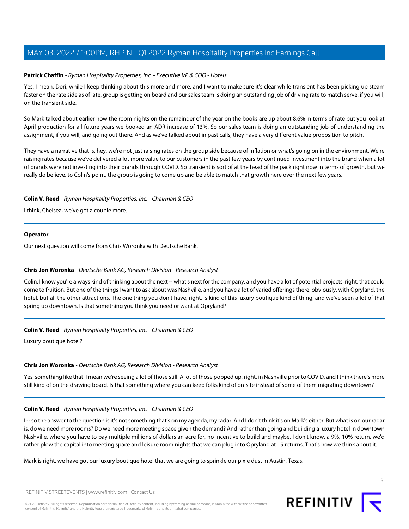## **Patrick Chaffin** - Ryman Hospitality Properties, Inc. - Executive VP & COO - Hotels

Yes. I mean, Dori, while I keep thinking about this more and more, and I want to make sure it's clear while transient has been picking up steam faster on the rate side as of late, group is getting on board and our sales team is doing an outstanding job of driving rate to match serve, if you will, on the transient side.

So Mark talked about earlier how the room nights on the remainder of the year on the books are up about 8.6% in terms of rate but you look at April production for all future years we booked an ADR increase of 13%. So our sales team is doing an outstanding job of understanding the assignment, if you will, and going out there. And as we've talked about in past calls, they have a very different value proposition to pitch.

They have a narrative that is, hey, we're not just raising rates on the group side because of inflation or what's going on in the environment. We're raising rates because we've delivered a lot more value to our customers in the past few years by continued investment into the brand when a lot of brands were not investing into their brands through COVID. So transient is sort of at the head of the pack right now in terms of growth, but we really do believe, to Colin's point, the group is going to come up and be able to match that growth here over the next few years.

#### **Colin V. Reed** - Ryman Hospitality Properties, Inc. - Chairman & CEO

I think, Chelsea, we've got a couple more.

#### **Operator**

<span id="page-12-0"></span>Our next question will come from Chris Woronka with Deutsche Bank.

## **Chris Jon Woronka** - Deutsche Bank AG, Research Division - Research Analyst

Colin, I know you're always kind of thinking about the next -- what's next for the company, and you have a lot of potential projects, right, that could come to fruition. But one of the things I want to ask about was Nashville, and you have a lot of varied offerings there, obviously, with Opryland, the hotel, but all the other attractions. The one thing you don't have, right, is kind of this luxury boutique kind of thing, and we've seen a lot of that spring up downtown. Is that something you think you need or want at Opryland?

## **Colin V. Reed** - Ryman Hospitality Properties, Inc. - Chairman & CEO

Luxury boutique hotel?

## **Chris Jon Woronka** - Deutsche Bank AG, Research Division - Research Analyst

Yes, something like that. I mean we're seeing a lot of those still. A lot of those popped up, right, in Nashville prior to COVID, and I think there's more still kind of on the drawing board. Is that something where you can keep folks kind of on-site instead of some of them migrating downtown?

#### **Colin V. Reed** - Ryman Hospitality Properties, Inc. - Chairman & CEO

I-- so the answer to the question is it's not something that's on my agenda, my radar. And I don't think it's on Mark's either. But what is on our radar is, do we need more rooms? Do we need more meeting space given the demand? And rather than going and building a luxury hotel in downtown Nashville, where you have to pay multiple millions of dollars an acre for, no incentive to build and maybe, I don't know, a 9%, 10% return, we'd rather plow the capital into meeting space and leisure room nights that we can plug into Opryland at 15 returns. That's how we think about it.

Mark is right, we have got our luxury boutique hotel that we are going to sprinkle our pixie dust in Austin, Texas.

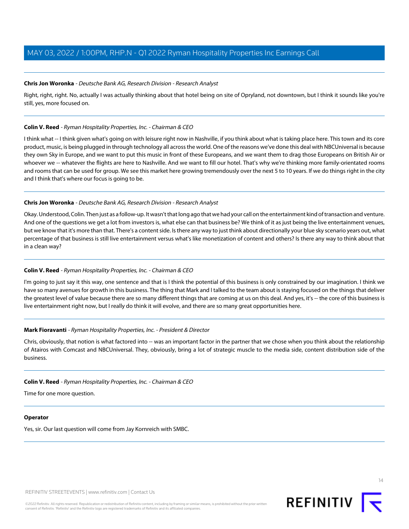## **Chris Jon Woronka** - Deutsche Bank AG, Research Division - Research Analyst

Right, right, right. No, actually I was actually thinking about that hotel being on site of Opryland, not downtown, but I think it sounds like you're still, yes, more focused on.

## **Colin V. Reed** - Ryman Hospitality Properties, Inc. - Chairman & CEO

I think what -- I think given what's going on with leisure right now in Nashville, if you think about what is taking place here. This town and its core product, music, is being plugged in through technology all across the world. One of the reasons we've done this deal with NBCUniversal is because they own Sky in Europe, and we want to put this music in front of these Europeans, and we want them to drag those Europeans on British Air or whoever we -- whatever the flights are here to Nashville. And we want to fill our hotel. That's why we're thinking more family-orientated rooms and rooms that can be used for group. We see this market here growing tremendously over the next 5 to 10 years. If we do things right in the city and I think that's where our focus is going to be.

## **Chris Jon Woronka** - Deutsche Bank AG, Research Division - Research Analyst

Okay. Understood, Colin. Then just as a follow-up. It wasn't that long ago that we had your call on the entertainment kind of transaction and venture. And one of the questions we get a lot from investors is, what else can that business be? We think of it as just being the live entertainment venues, but we know that it's more than that. There's a content side. Is there any way to just think about directionally your blue sky scenario years out, what percentage of that business is still live entertainment versus what's like monetization of content and others? Is there any way to think about that in a clean way?

# **Colin V. Reed** - Ryman Hospitality Properties, Inc. - Chairman & CEO

I'm going to just say it this way, one sentence and that is I think the potential of this business is only constrained by our imagination. I think we have so many avenues for growth in this business. The thing that Mark and I talked to the team about is staying focused on the things that deliver the greatest level of value because there are so many different things that are coming at us on this deal. And yes, it's -- the core of this business is live entertainment right now, but I really do think it will evolve, and there are so many great opportunities here.

## **Mark Fioravanti** - Ryman Hospitality Properties, Inc. - President & Director

Chris, obviously, that notion is what factored into -- was an important factor in the partner that we chose when you think about the relationship of Atairos with Comcast and NBCUniversal. They, obviously, bring a lot of strategic muscle to the media side, content distribution side of the business.

# **Colin V. Reed** - Ryman Hospitality Properties, Inc. - Chairman & CEO

Time for one more question.

## **Operator**

Yes, sir. Our last question will come from Jay Kornreich with SMBC.

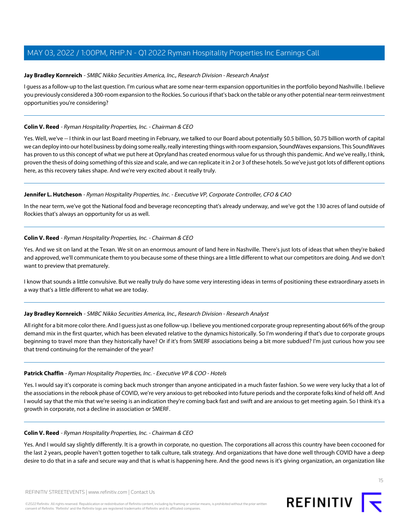## <span id="page-14-0"></span>**Jay Bradley Kornreich** - SMBC Nikko Securities America, Inc., Research Division - Research Analyst

I guess as a follow-up to the last question. I'm curious what are some near-term expansion opportunities in the portfolio beyond Nashville. I believe you previously considered a 300-room expansion to the Rockies. So curious if that's back on the table or any other potential near-term reinvestment opportunities you're considering?

## **Colin V. Reed** - Ryman Hospitality Properties, Inc. - Chairman & CEO

Yes. Well, we've -- I think in our last Board meeting in February, we talked to our Board about potentially \$0.5 billion, \$0.75 billion worth of capital we can deploy into our hotel business by doing some really, really interesting things with room expansion, SoundWaves expansions. This SoundWaves has proven to us this concept of what we put here at Opryland has created enormous value for us through this pandemic. And we've really, I think, proven the thesis of doing something of this size and scale, and we can replicate it in 2 or 3 of these hotels. So we've just got lots of different options here, as this recovery takes shape. And we're very excited about it really truly.

## **Jennifer L. Hutcheson** - Ryman Hospitality Properties, Inc. - Executive VP, Corporate Controller, CFO & CAO

In the near term, we've got the National food and beverage reconcepting that's already underway, and we've got the 130 acres of land outside of Rockies that's always an opportunity for us as well.

## **Colin V. Reed** - Ryman Hospitality Properties, Inc. - Chairman & CEO

Yes. And we sit on land at the Texan. We sit on an enormous amount of land here in Nashville. There's just lots of ideas that when they're baked and approved, we'll communicate them to you because some of these things are a little different to what our competitors are doing. And we don't want to preview that prematurely.

I know that sounds a little convulsive. But we really truly do have some very interesting ideas in terms of positioning these extraordinary assets in a way that's a little different to what we are today.

## **Jay Bradley Kornreich** - SMBC Nikko Securities America, Inc., Research Division - Research Analyst

All right for a bit more color there. And I guess just as one follow-up. I believe you mentioned corporate group representing about 66% of the group demand mix in the first quarter, which has been elevated relative to the dynamics historically. So I'm wondering if that's due to corporate groups beginning to travel more than they historically have? Or if it's from SMERF associations being a bit more subdued? I'm just curious how you see that trend continuing for the remainder of the year?

## Patrick Chaffin - Ryman Hospitality Properties, Inc. - Executive VP & COO - Hotels

Yes. I would say it's corporate is coming back much stronger than anyone anticipated in a much faster fashion. So we were very lucky that a lot of the associations in the rebook phase of COVID, we're very anxious to get rebooked into future periods and the corporate folks kind of held off. And I would say that the mix that we're seeing is an indication they're coming back fast and swift and are anxious to get meeting again. So I think it's a growth in corporate, not a decline in association or SMERF.

## **Colin V. Reed** - Ryman Hospitality Properties, Inc. - Chairman & CEO

Yes. And I would say slightly differently. It is a growth in corporate, no question. The corporations all across this country have been cocooned for the last 2 years, people haven't gotten together to talk culture, talk strategy. And organizations that have done well through COVID have a deep desire to do that in a safe and secure way and that is what is happening here. And the good news is it's giving organization, an organization like